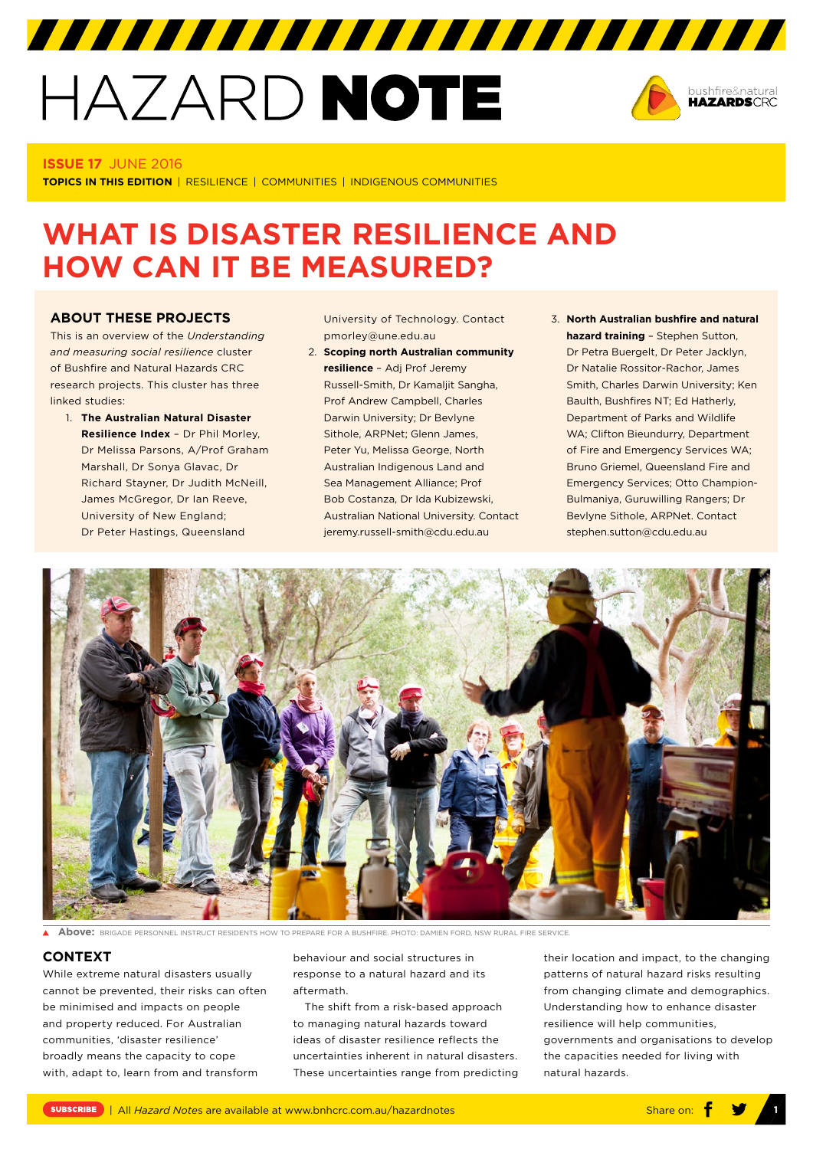# HAZARD NOTE



#### **ISSUE 17** JUNE 2016

**TOPICS IN THIS EDITION** | RESILIENCE | COMMUNITIES | INDIGENOUS COMMUNITIES

# **WHAT IS DISASTER RESILIENCE AND HOW CAN IT BE MEASURED?**

#### **ABOUT THESE PROJECTS**

This is an overview of the *Understanding and measuring social resilience* cluster of Bushfire and Natural Hazards CRC research projects. This cluster has three linked studies:

1. **The Australian Natural Disaster Resilience Index** – Dr Phil Morley, Dr Melissa Parsons, A/Prof Graham Marshall, Dr Sonya Glavac, Dr Richard Stayner, Dr Judith McNeill, James McGregor, Dr Ian Reeve, University of New England; Dr Peter Hastings, Queensland

University of Technology. Contact pmorley@une.edu.au

777777777777777777777777777777

- 2. **Scoping north Australian community resilience** – Adj Prof Jeremy Russell-Smith, Dr Kamaljit Sangha, Prof Andrew Campbell, Charles Darwin University; Dr Bevlyne Sithole, ARPNet; Glenn James, Peter Yu, Melissa George, North Australian Indigenous Land and Sea Management Alliance; Prof Bob Costanza, Dr Ida Kubizewski, Australian National University. Contact jeremy.russell-smith@cdu.edu.au
- 3. **North Australian bushfire and natural hazard training** – Stephen Sutton, Dr Petra Buergelt, Dr Peter Jacklyn, Dr Natalie Rossitor-Rachor, James Smith, Charles Darwin University; Ken Baulth, Bushfires NT; Ed Hatherly, Department of Parks and Wildlife WA; Clifton Bieundurry, Department of Fire and Emergency Services WA; Bruno Griemel, Queensland Fire and Emergency Services; Otto Champion-Bulmaniya, Guruwilling Rangers; Dr Bevlyne Sithole, ARPNet. Contact stephen.sutton@cdu.edu.au



**Above:** BRIGADE PERSONNEL INSTRUCT RESIDENTS HOW TO PREPARE FOR A BUSHFIRE. PHOTO: DAMIEN FORD, NSW RURAL FIRE SERVICE.

#### **CONTEXT**

While extreme natural disasters usually cannot be prevented, their risks can often be minimised and impacts on people and property reduced. For Australian communities, 'disaster resilience' broadly means the capacity to cope with, adapt to, learn from and transform

behaviour and social structures in response to a natural hazard and its aftermath.

The shift from a risk-based approach to managing natural hazards toward ideas of disaster resilience reflects the uncertainties inherent in natural disasters. These uncertainties range from predicting their location and impact, to the changing patterns of natural hazard risks resulting from changing climate and demographics. Understanding how to enhance disaster resilience will help communities, governments and organisations to develop the capacities needed for living with natural hazards.

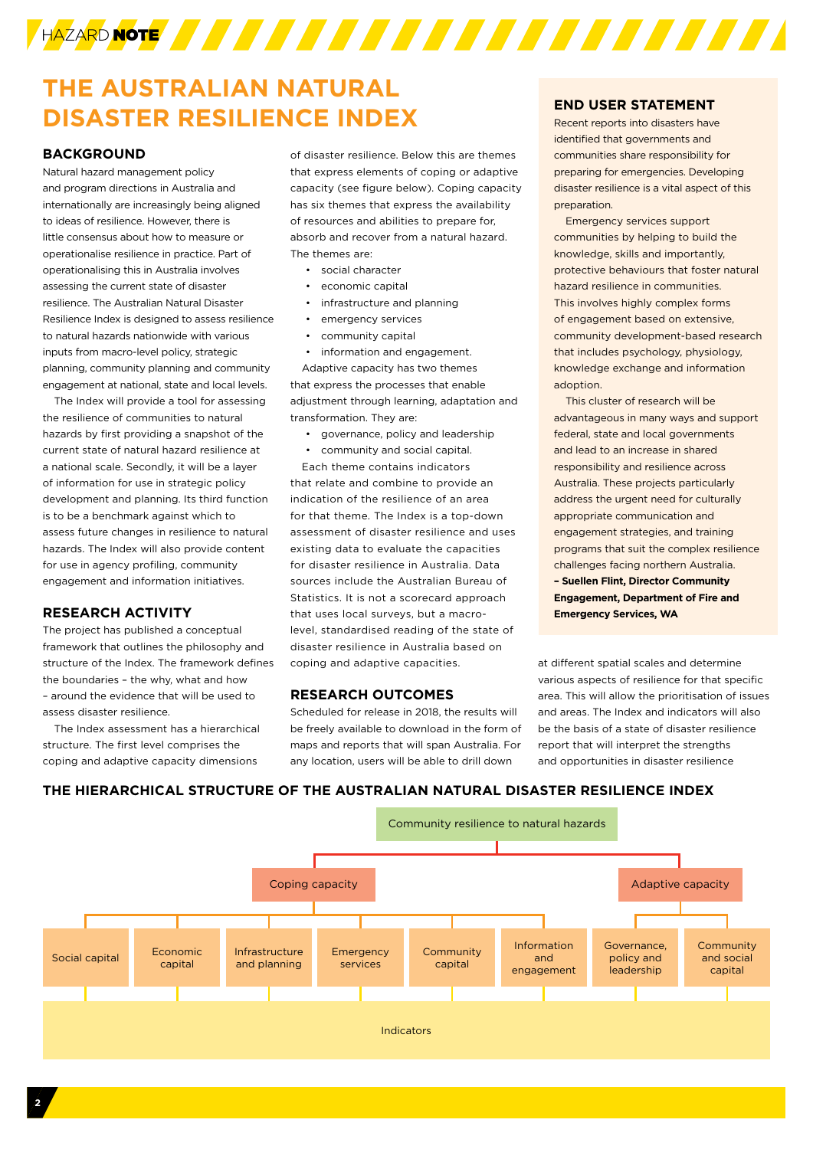

## **THE AUSTRALIAN NATURAL DISASTER RESILIENCE INDEX**

### **BACKGROUND**

Natural hazard management policy and program directions in Australia and internationally are increasingly being aligned to ideas of resilience. However, there is little consensus about how to measure or operationalise resilience in practice. Part of operationalising this in Australia involves assessing the current state of disaster resilience. The Australian Natural Disaster Resilience Index is designed to assess resilience to natural hazards nationwide with various inputs from macro-level policy, strategic planning, community planning and community engagement at national, state and local levels.

The Index will provide a tool for assessing the resilience of communities to natural hazards by first providing a snapshot of the current state of natural hazard resilience at a national scale. Secondly, it will be a layer of information for use in strategic policy development and planning. Its third function is to be a benchmark against which to assess future changes in resilience to natural hazards. The Index will also provide content for use in agency profiling, community engagement and information initiatives.

#### **RESEARCH ACTIVITY**

The project has published a conceptual framework that outlines the philosophy and structure of the Index. The framework defines the boundaries – the why, what and how – around the evidence that will be used to assess disaster resilience.

The Index assessment has a hierarchical structure. The first level comprises the coping and adaptive capacity dimensions

of disaster resilience. Below this are themes that express elements of coping or adaptive capacity (see figure below). Coping capacity has six themes that express the availability of resources and abilities to prepare for, absorb and recover from a natural hazard. The themes are:

- social character
- economic capital
- infrastructure and planning
- emergency services
- community capital
- information and engagement.

Adaptive capacity has two themes that express the processes that enable adjustment through learning, adaptation and transformation. They are:

- governance, policy and leadership
- community and social capital.

Each theme contains indicators that relate and combine to provide an indication of the resilience of an area for that theme. The Index is a top-down assessment of disaster resilience and uses existing data to evaluate the capacities for disaster resilience in Australia. Data sources include the Australian Bureau of Statistics. It is not a scorecard approach that uses local surveys, but a macrolevel, standardised reading of the state of disaster resilience in Australia based on coping and adaptive capacities.

#### **RESEARCH OUTCOMES**

Scheduled for release in 2018, the results will be freely available to download in the form of maps and reports that will span Australia. For any location, users will be able to drill down

Recent reports into disasters have identified that governments and communities share responsibility for preparing for emergencies. Developing disaster resilience is a vital aspect of this preparation.

Emergency services support communities by helping to build the knowledge, skills and importantly, protective behaviours that foster natural hazard resilience in communities. This involves highly complex forms of engagement based on extensive, community development-based research that includes psychology, physiology, knowledge exchange and information adoption.

This cluster of research will be advantageous in many ways and support federal, state and local governments and lead to an increase in shared responsibility and resilience across Australia. These projects particularly address the urgent need for culturally appropriate communication and engagement strategies, and training programs that suit the complex resilience challenges facing northern Australia. **– Suellen Flint, Director Community Engagement, Department of Fire and Emergency Services, WA**

at different spatial scales and determine various aspects of resilience for that specific area. This will allow the prioritisation of issues and areas. The Index and indicators will also be the basis of a state of disaster resilience report that will interpret the strengths and opportunities in disaster resilience

## **THE HIERARCHICAL STRUCTURE OF THE AUSTRALIAN NATURAL DISASTER RESILIENCE INDEX**

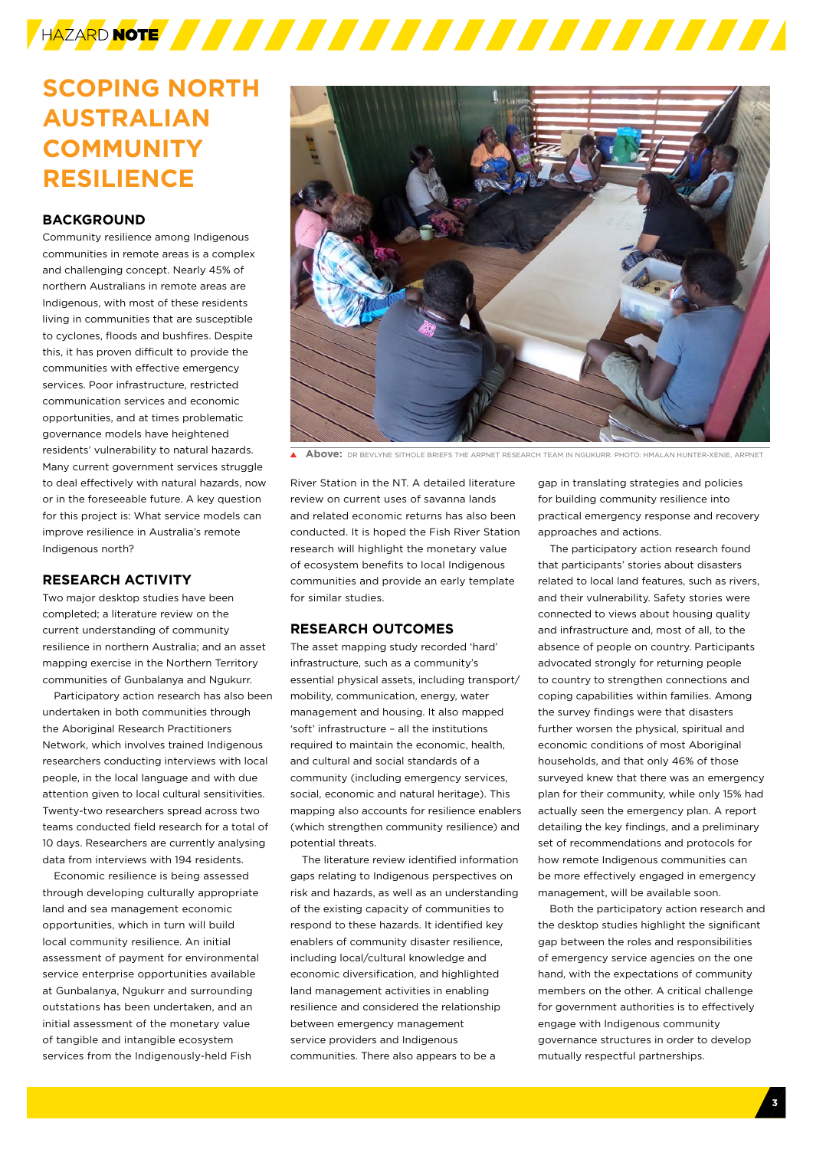

## **SCOPING NORTH AUSTRALIAN COMMUNITY RESILIENCE**

### **BACKGROUND**

Community resilience among Indigenous communities in remote areas is a complex and challenging concept. Nearly 45% of northern Australians in remote areas are Indigenous, with most of these residents living in communities that are susceptible to cyclones, floods and bushfires. Despite this, it has proven difficult to provide the communities with effective emergency services. Poor infrastructure, restricted communication services and economic opportunities, and at times problematic governance models have heightened residents' vulnerability to natural hazards. Many current government services struggle to deal effectively with natural hazards, now or in the foreseeable future. A key question for this project is: What service models can improve resilience in Australia's remote Indigenous north?

#### **RESEARCH ACTIVITY**

Two major desktop studies have been completed; a literature review on the current understanding of community resilience in northern Australia; and an asset mapping exercise in the Northern Territory communities of Gunbalanya and Ngukurr.

Participatory action research has also been undertaken in both communities through the Aboriginal Research Practitioners Network, which involves trained Indigenous researchers conducting interviews with local people, in the local language and with due attention given to local cultural sensitivities. Twenty-two researchers spread across two teams conducted field research for a total of 10 days. Researchers are currently analysing data from interviews with 194 residents.

Economic resilience is being assessed through developing culturally appropriate land and sea management economic opportunities, which in turn will build local community resilience. An initial assessment of payment for environmental service enterprise opportunities available at Gunbalanya, Ngukurr and surrounding outstations has been undertaken, and an initial assessment of the monetary value of tangible and intangible ecosystem services from the Indigenously-held Fish



**Above:** DR BEVLYNE SITHOLE BRIEFS THE ARRNET RESEARCH TEAM IN NGUKURR DHOTO: HMALAN HUNTER-XENIE, ARRNET

River Station in the NT. A detailed literature review on current uses of savanna lands and related economic returns has also been conducted. It is hoped the Fish River Station research will highlight the monetary value of ecosystem benefits to local Indigenous communities and provide an early template for similar studies.

#### **RESEARCH OUTCOMES**

The asset mapping study recorded 'hard' infrastructure, such as a community's essential physical assets, including transport/ mobility, communication, energy, water management and housing. It also mapped 'soft' infrastructure – all the institutions required to maintain the economic, health, and cultural and social standards of a community (including emergency services, social, economic and natural heritage). This mapping also accounts for resilience enablers (which strengthen community resilience) and potential threats.

The literature review identified information gaps relating to Indigenous perspectives on risk and hazards, as well as an understanding of the existing capacity of communities to respond to these hazards. It identified key enablers of community disaster resilience, including local/cultural knowledge and economic diversification, and highlighted land management activities in enabling resilience and considered the relationship between emergency management service providers and Indigenous communities. There also appears to be a

gap in translating strategies and policies for building community resilience into practical emergency response and recovery approaches and actions.

The participatory action research found that participants' stories about disasters related to local land features, such as rivers, and their vulnerability. Safety stories were connected to views about housing quality and infrastructure and, most of all, to the absence of people on country. Participants advocated strongly for returning people to country to strengthen connections and coping capabilities within families. Among the survey findings were that disasters further worsen the physical, spiritual and economic conditions of most Aboriginal households, and that only 46% of those surveyed knew that there was an emergency plan for their community, while only 15% had actually seen the emergency plan. A report detailing the key findings, and a preliminary set of recommendations and protocols for how remote Indigenous communities can be more effectively engaged in emergency management, will be available soon.

Both the participatory action research and the desktop studies highlight the significant gap between the roles and responsibilities of emergency service agencies on the one hand, with the expectations of community members on the other. A critical challenge for government authorities is to effectively engage with Indigenous community governance structures in order to develop mutually respectful partnerships.